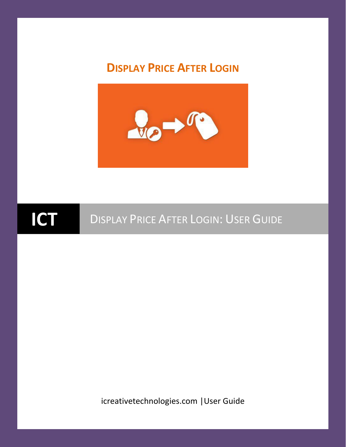#### **DISPLAY PRICE AFTER LOGIN**



### **ICT** <sup>D</sup>ISPLAY <sup>P</sup>RICE <sup>A</sup>FTER LOGIN: <sup>U</sup>SER <sup>G</sup>UIDE

icreativetechnologies.com |User Guide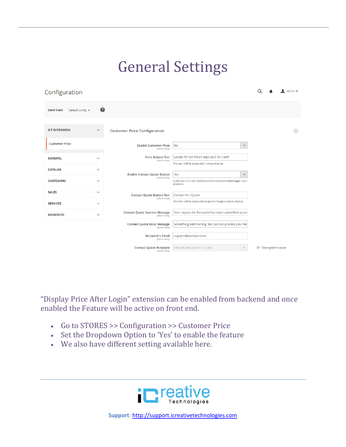#### General Settings

| Configuration                                   |                                                      |                                                                                     | admin $\star$                    |
|-------------------------------------------------|------------------------------------------------------|-------------------------------------------------------------------------------------|----------------------------------|
| <b>Store View:</b><br>Default Config v          | Ø                                                    |                                                                                     |                                  |
| <b>ICT EXTENSION</b><br>$\widehat{\phantom{a}}$ | <b>Customer Price Configuration</b>                  |                                                                                     | ଚ                                |
| <b>Customer Price</b>                           | <b>Enable Customer Price</b><br>[store view]         | <b>No</b>                                                                           | $\blacktriangledown$             |
| <b>GENERAL</b><br>$\checkmark$                  | <b>Price Button Text</b><br>[store view]             | LOGIN TO SEE PRICE AND ADD TO CART<br>This text will be appeared in place of price. |                                  |
| <b>CATALOG</b><br>$\checkmark$                  | <b>Enable Contact Quote Button</b>                   | Yes                                                                                 | $\blacktriangledown$             |
| <b>CUSTOMERS</b><br>$\checkmark$                | [store view]                                         | It will add a Contact Quote button in product detail page if you<br>enable it.      |                                  |
| <b>SALES</b><br>$\checkmark$                    | <b>Contact Quote Button Text</b>                     | <b>Contact For Quote</b>                                                            |                                  |
| <b>SERVICES</b><br>$\checkmark$                 | [store view]                                         | This text will be appeared on product page in place of price.                       |                                  |
| <b>ADVANCED</b><br>$\checkmark$                 | <b>Contact Quote Success Message</b><br>[store view] | Your inquiry for the quote has been submitted succe                                 |                                  |
|                                                 | <b>Contact Quote Error Message</b><br>[store view]   | Something went wrong. We Can not process your rec                                   |                                  |
|                                                 | <b>Recipient's Email</b><br>[store view]             | support@example.com                                                                 |                                  |
|                                                 | <b>Contact Quote Template</b><br>[store view]        | Default (Request for Quote)                                                         | $\triangledown$ Use system value |

"Display Price After Login" extension can be enabled from backend and once enabled the Feature will be active on front end.

- Go to STORES >> Configuration >> Customer Price
- Set the Dropdown Option to 'Yes' to enable the feature
- We also have different setting available here.

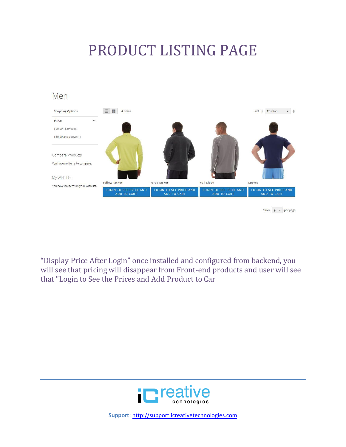#### PRODUCT LISTING PAGE



"Display Price After Login" once installed and configured from backend, you will see that pricing will disappear from Front-end products and user will see that "Login to See the Prices and Add Product to Car

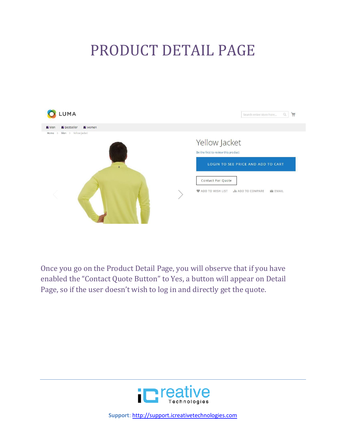#### PRODUCT DETAIL PAGE



Once you go on the Product Detail Page, you will observe that if you have enabled the "Contact Quote Button" to Yes, a button will appear on Detail Page, so if the user doesn't wish to log in and directly get the quote.

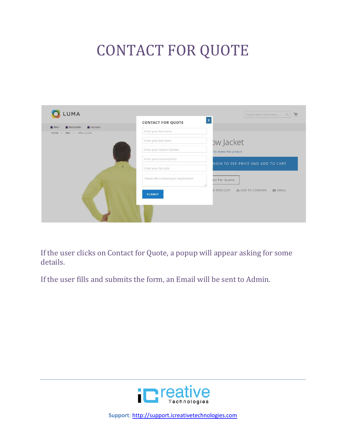# CONTACT FOR QUOTE

| <b>M</b> Bestseller<br>women<br>Men | <b>CONTACT FOR QUOTE</b>              | $\mathbf{x}$                                  |
|-------------------------------------|---------------------------------------|-----------------------------------------------|
| Home > Men > Yellow Jacket          | Enter your first name                 |                                               |
|                                     | Enter your last name                  | ow Jacket                                     |
|                                     | Enter your contact number             | to review this product                        |
|                                     | Enter your email address              |                                               |
| п                                   | Enter your zip code                   | OGIN TO SEE PRICE AND ADD TO CART             |
|                                     | Please tell us about your requirement | ict For Quote                                 |
|                                     |                                       | O WISH LIST<br><b>II ADD TO COMPARE EMAIL</b> |
|                                     | <b>SUBMIT</b>                         |                                               |
|                                     |                                       |                                               |

If the user clicks on Contact for Quote, a popup will appear asking for some details.

If the user fills and submits the form, an Email will be sent to Admin.

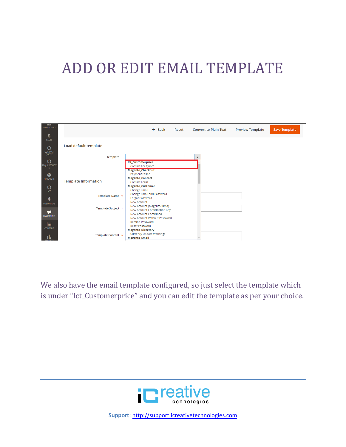### ADD OR EDIT EMAIL TEMPLATE



We also have the email template configured, so just select the template which is under "Ict\_Customerprice" and you can edit the template as per your choice.

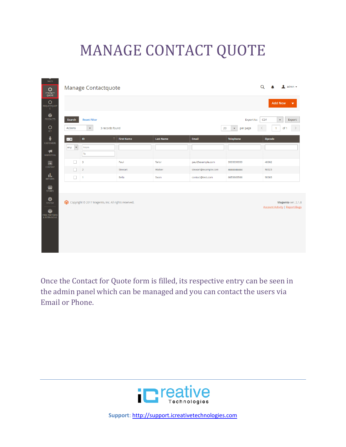# MANAGE CONTACT QUOTE

| SALES                                         |                                  |                                                     |                           |                  |                     |                          |                                                            |
|-----------------------------------------------|----------------------------------|-----------------------------------------------------|---------------------------|------------------|---------------------|--------------------------|------------------------------------------------------------|
| Ó<br><b>CONTACT</b><br>QUOTE                  | Manage Contactquote              | Q                                                   | $\triangle$ admin $\star$ |                  |                     |                          |                                                            |
| О<br>REQUESTQUOT<br>E                         |                                  |                                                     |                           |                  |                     |                          | <b>Add New</b><br>$\blacktriangledown$                     |
| Ŵ<br><b>PRODUCTS</b>                          | Search                           | <b>Reset Filter</b>                                 |                           |                  |                     | Export to:               | <b>CSV</b><br>Export<br>$\pmb{\mathbf{v}}$                 |
| $\mathsf{Q}_{\mathsf{I}\mathsf{C}\mathsf{T}}$ | Actions                          | 3 records found<br>$\blacktriangledown$             |                           |                  | 20                  | per page<br>$\mathbf{v}$ | $\,>\,$<br>of 1<br>1                                       |
| Å<br><b>CUSTOMERS</b>                         | $\overline{\phantom{a}}$         | $\,$ ID                                             | 1 First Name              | <b>Last Name</b> | Email               | <b>Telephone</b>         | Zipcode                                                    |
| ◀<br><b>MARKETING</b>                         | Any<br>$\boldsymbol{\mathrm{v}}$ | From<br>To                                          |                           |                  |                     |                          |                                                            |
| $\blacksquare$                                | $\Box$                           | 3                                                   | Paul                      | Tailor           | paul@example.com    | 999999999                | 40002                                                      |
| CONTENT                                       | $\Box$                           | $\overline{2}$                                      | Stewart                   | Walker           | stewart@example.com | 4444444444               | 50023                                                      |
| d,<br><b>REPORTS</b>                          | $\Box$                           | $\overline{1}$                                      | Bella                     | Swan             | contact@test.com    | 6655665566               | 90003                                                      |
| $\frac{d}{d}$<br>Stores                       |                                  |                                                     |                           |                  |                     |                          |                                                            |
| $\mathbf{R}$                                  |                                  | Copyright @ 2017 Magento, Inc. All rights reserved. |                           |                  |                     |                          | Magento ver. 2.1.<br><b>Account Activity   Report Bugs</b> |
| ¢<br>FIND PARTNERS<br>& EXTENSIONS            |                                  |                                                     |                           |                  |                     |                          |                                                            |
|                                               |                                  |                                                     |                           |                  |                     |                          |                                                            |
|                                               |                                  |                                                     |                           |                  |                     |                          |                                                            |
|                                               |                                  |                                                     |                           |                  |                     |                          |                                                            |
|                                               |                                  |                                                     |                           |                  |                     |                          |                                                            |

Once the Contact for Quote form is filled, its respective entry can be seen in the admin panel which can be managed and you can contact the users via Email or Phone.